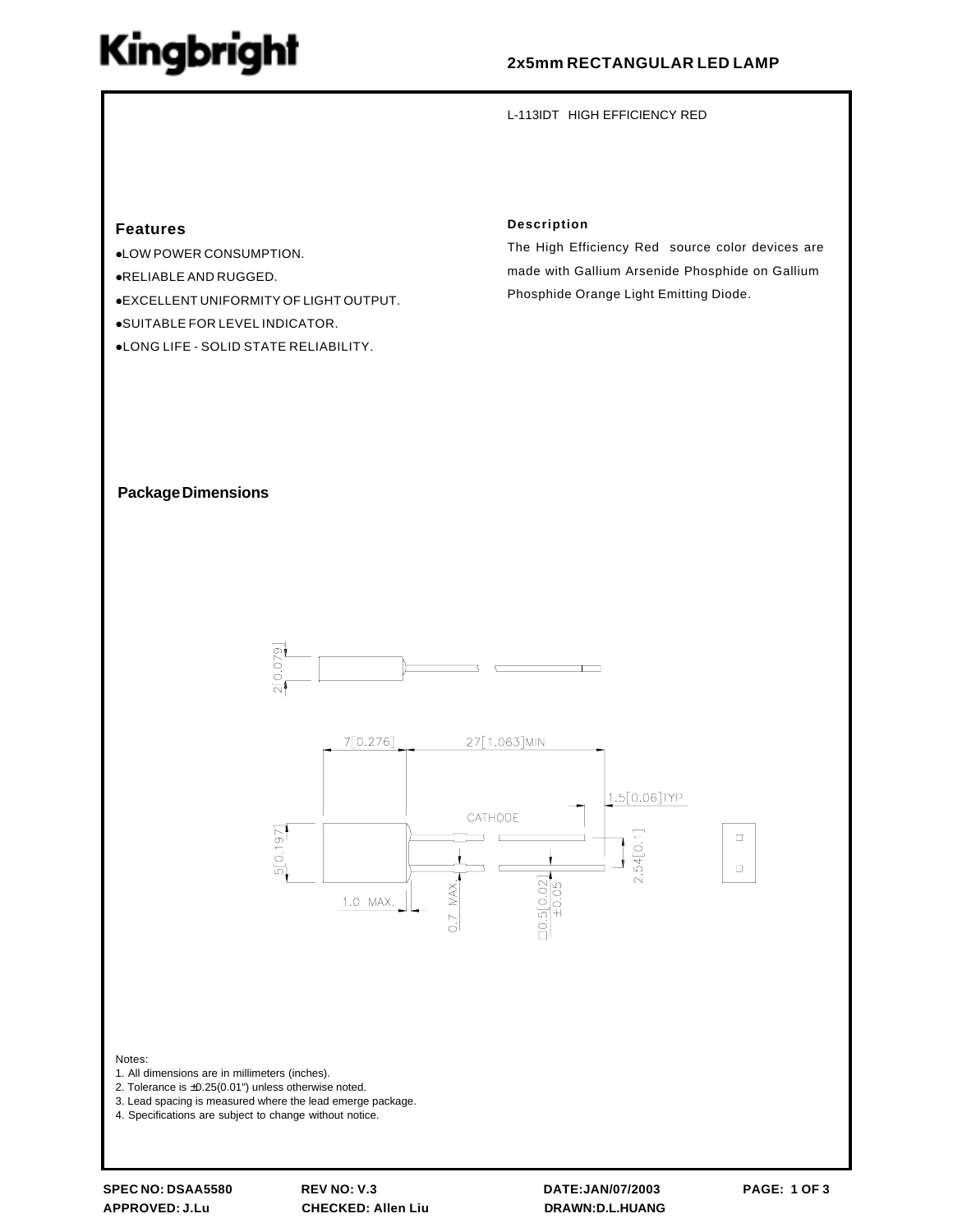# **Kingbright**

## **2x5mm RECTANGULAR LED LAMP**

L-113IDT HIGH EFFICIENCY RED

#### **Features**

!LOW POWER CONSUMPTION. !RELIABLE AND RUGGED. !EXCELLENT UNIFORMITY OF LIGHT OUTPUT. !SUITABLE FOR LEVEL INDICATOR. !LONG LIFE - SOLID STATE RELIABILITY.

#### **Description**

The High Efficiency Red source color devices are made with Gallium Arsenide Phosphide on Gallium Phosphide Orange Light Emitting Diode.

#### **Package Dimensions**





Notes:

- 1. All dimensions are in millimeters (inches).
- 2. Tolerance is ±0.25(0.01") unless otherwise noted.
- 3. Lead spacing is measured where the lead emerge package.

4. Specifications are subject to change without notice.

**APPROVED: J.Lu CHECKED: Allen Liu DRAWN:D.L.HUANG**

**SPEC NO: DSAA5580 REV NO: V.3 DATE:JAN/07/2003 PAGE: 1 OF 3**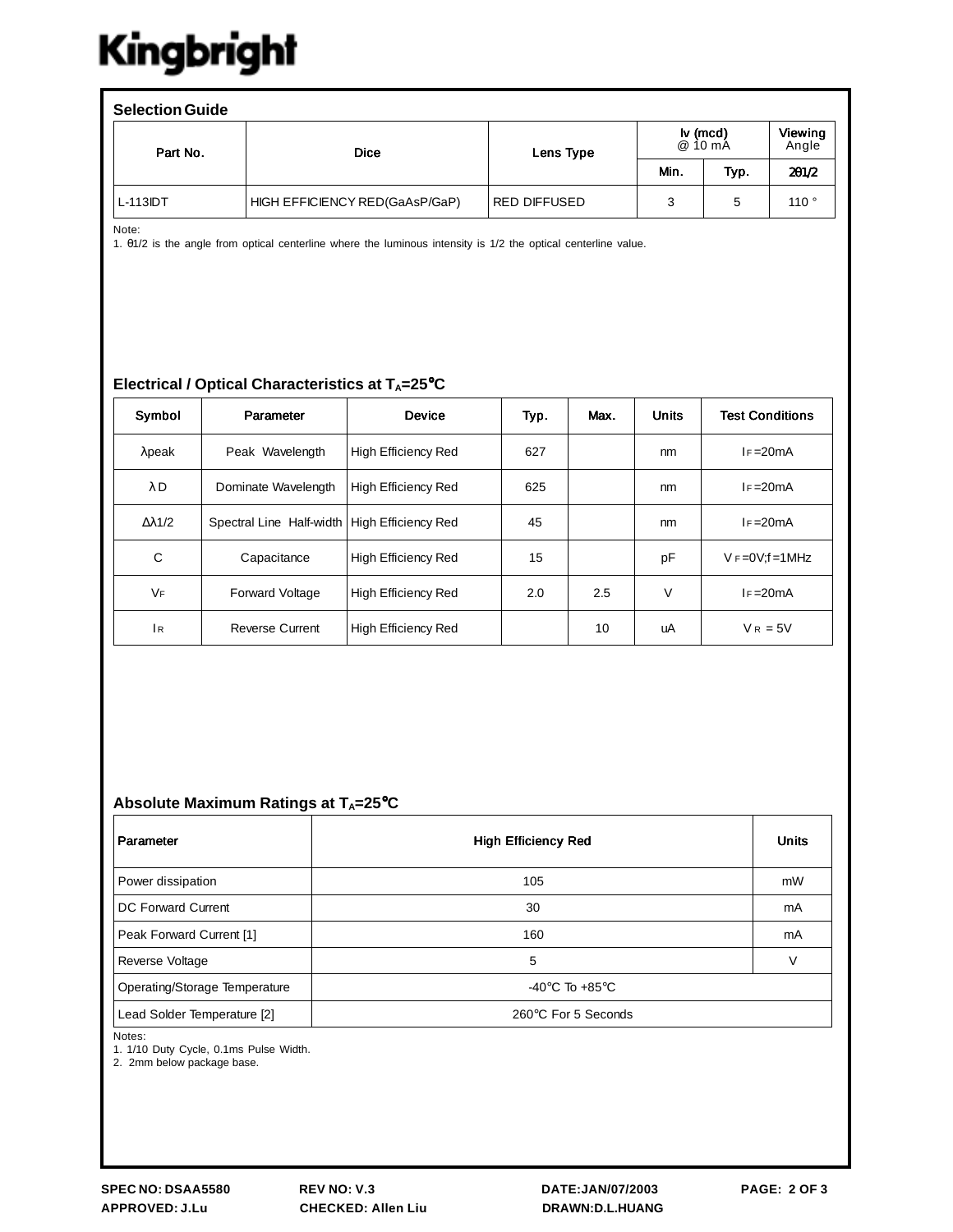# Kingbright

| <b>Selection Guide</b> |                                |              |      |                                          |                  |  |  |  |  |
|------------------------|--------------------------------|--------------|------|------------------------------------------|------------------|--|--|--|--|
| Part No.               | <b>Dice</b>                    | Lens Type    |      | $\mathsf{I} \mathsf{v}$ (mcd)<br>@ 10 mA | Viewing<br>Angle |  |  |  |  |
|                        |                                |              | Min. | Typ.                                     | 201/2            |  |  |  |  |
| $L-113IDT$             | HIGH EFFICIENCY RED(GaAsP/GaP) | RED DIFFUSED | 3    | 5                                        | 110°             |  |  |  |  |

Note:

1. θ1/2 is the angle from optical centerline where the luminous intensity is 1/2 the optical centerline value.

### **Electrical / Optical Characteristics at T<sub>A</sub>=25°C**

| Symbol               | Parameter                | <b>Device</b>              | Typ. | Max. | <b>Units</b> | <b>Test Conditions</b> |  |
|----------------------|--------------------------|----------------------------|------|------|--------------|------------------------|--|
| $\lambda$ peak       | Peak Wavelength          | <b>High Efficiency Red</b> | 627  |      | nm           | $F = 20mA$             |  |
| $\lambda$ D          | Dominate Wavelength      | <b>High Efficiency Red</b> | 625  |      | nm           | $I = 20mA$             |  |
| $\Lambda\lambda$ 1/2 | Spectral Line Half-width | High Efficiency Red        | 45   |      | nm           | $F = 20mA$             |  |
| C                    | Capacitance              | <b>High Efficiency Red</b> | 15   |      | pF           | $V = 0V$ : f = 1 MHz   |  |
| VF                   | <b>Forward Voltage</b>   | <b>High Efficiency Red</b> | 2.0  | 2.5  | $\vee$       | $F = 20mA$             |  |
| 1 <sub>R</sub>       | <b>Reverse Current</b>   | <b>High Efficiency Red</b> |      | 10   | uA           | $V_R = 5V$             |  |

### Absolute Maximum Ratings at T<sub>A</sub>=25°C

| Parameter                     | <b>High Efficiency Red</b>           | <b>Units</b> |
|-------------------------------|--------------------------------------|--------------|
| Power dissipation             | 105                                  | mW           |
| <b>DC Forward Current</b>     | 30                                   | mA           |
| Peak Forward Current [1]      | 160                                  | mA           |
| Reverse Voltage               | 5                                    | V            |
| Operating/Storage Temperature | -40 $^{\circ}$ C To +85 $^{\circ}$ C |              |
| Lead Solder Temperature [2]   | 260°C For 5 Seconds                  |              |

Notes:

1. 1/10 Duty Cycle, 0.1ms Pulse Width.

2. 2mm below package base.